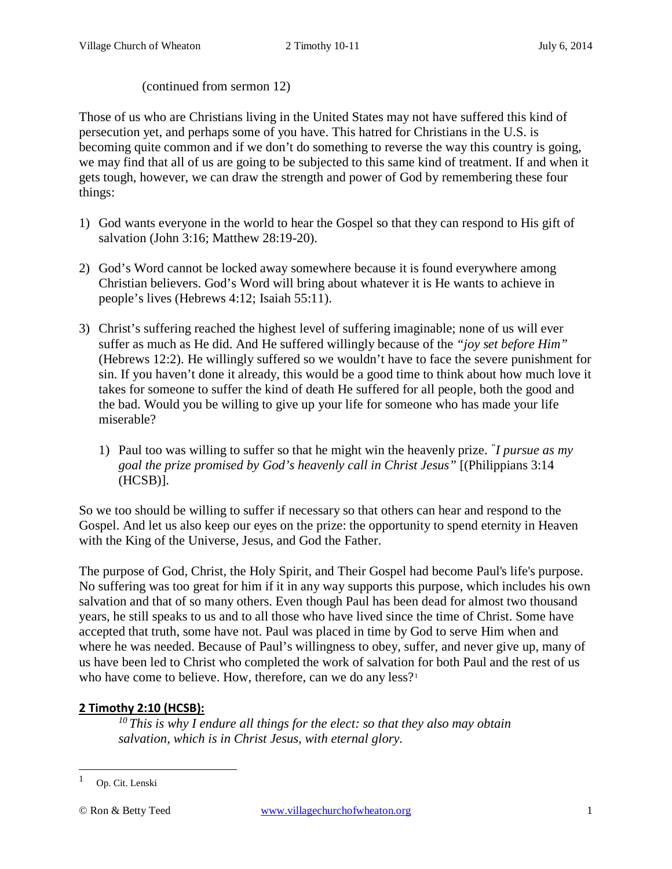(continued from sermon 12)

Those of us who are Christians living in the United States may not have suffered this kind of persecution yet, and perhaps some of you have. This hatred for Christians in the U.S. is becoming quite common and if we don't do something to reverse the way this country is going, we may find that all of us are going to be subjected to this same kind of treatment. If and when it gets tough, however, we can draw the strength and power of God by remembering these four things:

- 1) God wants everyone in the world to hear the Gospel so that they can respond to His gift of salvation (John 3:16; Matthew 28:19-20).
- 2) God's Word cannot be locked away somewhere because it is found everywhere among Christian believers. God's Word will bring about whatever it is He wants to achieve in people's lives (Hebrews 4:12; Isaiah 55:11).
- 3) Christ's suffering reached the highest level of suffering imaginable; none of us will ever suffer as much as He did. And He suffered willingly because of the *"joy set before Him"*  (Hebrews 12:2). He willingly suffered so we wouldn't have to face the severe punishment for sin. If you haven't done it already, this would be a good time to think about how much love it takes for someone to suffer the kind of death He suffered for all people, both the good and the bad. Would you be willing to give up your life for someone who has made your life miserable?
	- 1) Paul too was willing to suffer so that he might win the heavenly prize. *"I pursue as my goal the prize promised by God's heavenly call in Christ Jesus"* [(Philippians 3:14 (HCSB)].

So we too should be willing to suffer if necessary so that others can hear and respond to the Gospel. And let us also keep our eyes on the prize: the opportunity to spend eternity in Heaven with the King of the Universe, Jesus, and God the Father.

The purpose of God, Christ, the Holy Spirit, and Their Gospel had become Paul's life's purpose. No suffering was too great for him if it in any way supports this purpose, which includes his own salvation and that of so many others. Even though Paul has been dead for almost two thousand years, he still speaks to us and to all those who have lived since the time of Christ. Some have accepted that truth, some have not. Paul was placed in time by God to serve Him when and where he was needed. Because of Paul's willingness to obey, suffer, and never give up, many of us have been led to Christ who completed the work of salvation for both Paul and the rest of us who have come to believe. How, therefore, can we do any less?<sup>[1](#page-0-0)</sup>

## **2 Timothy 2:10 (HCSB):**

*10 This is why I endure all things for the elect: so that they also may obtain salvation, which is in Christ Jesus, with eternal glory.*

 $\overline{a}$ 

<span id="page-0-0"></span>Op. Cit. Lenski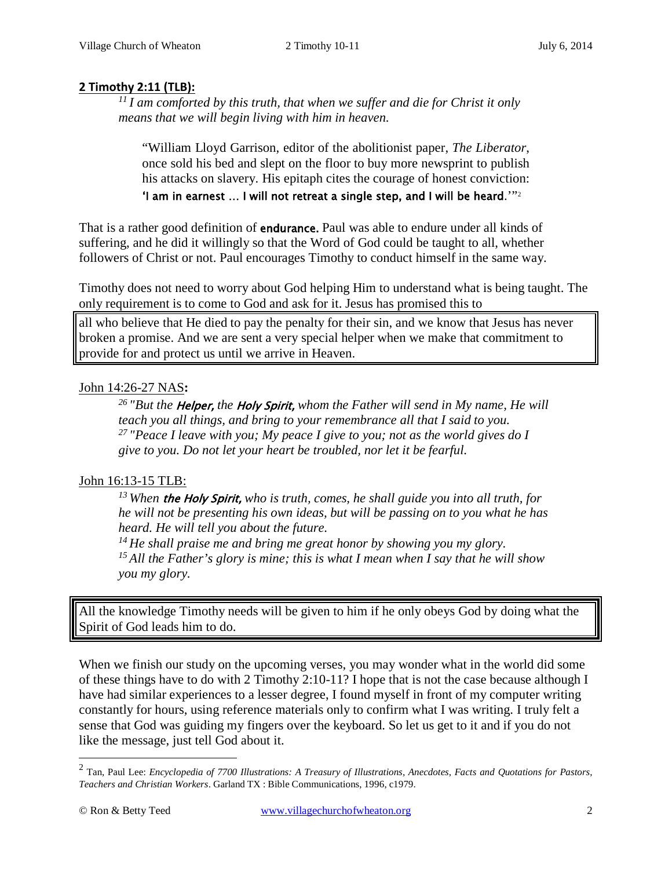#### **2 Timothy 2:11 (TLB):**

*11 I am comforted by this truth, that when we suffer and die for Christ it only means that we will begin living with him in heaven.*

"William Lloyd Garrison, editor of the abolitionist paper, *The Liberator*, once sold his bed and slept on the floor to buy more newsprint to publish his attacks on slavery. His epitaph cites the courage of honest conviction:

'I am in earnest  $\dots$  I will not retreat a single step, and I will be heard."<sup>[2](#page-1-0)2</sup>

That is a rather good definition of **endurance**. Paul was able to endure under all kinds of suffering, and he did it willingly so that the Word of God could be taught to all, whether followers of Christ or not. Paul encourages Timothy to conduct himself in the same way.

Timothy does not need to worry about God helping Him to understand what is being taught. The only requirement is to come to God and ask for it. Jesus has promised this to

all who believe that He died to pay the penalty for their sin, and we know that Jesus has never broken a promise. And we are sent a very special helper when we make that commitment to provide for and protect us until we arrive in Heaven.

#### John 14:26-27 NAS**:**

*26 "But the* Helper, *the* Holy Spirit, *whom the Father will send in My name, He will teach you all things, and bring to your remembrance all that I said to you. 27 "Peace I leave with you; My peace I give to you; not as the world gives do I give to you. Do not let your heart be troubled, nor let it be fearful.* 

#### John 16:13-15 TLB:

*13 When* the Holy Spirit, *who is truth, comes, he shall guide you into all truth, for he will not be presenting his own ideas, but will be passing on to you what he has heard. He will tell you about the future.* 

*14 He shall praise me and bring me great honor by showing you my glory. 15 All the Father's glory is mine; this is what I mean when I say that he will show you my glory.* 

All the knowledge Timothy needs will be given to him if he only obeys God by doing what the Spirit of God leads him to do.

When we finish our study on the upcoming verses, you may wonder what in the world did some of these things have to do with 2 Timothy 2:10-11? I hope that is not the case because although I have had similar experiences to a lesser degree, I found myself in front of my computer writing constantly for hours, using reference materials only to confirm what I was writing. I truly felt a sense that God was guiding my fingers over the keyboard. So let us get to it and if you do not like the message, just tell God about it.

 $\overline{a}$ 

<span id="page-1-0"></span><sup>2</sup> Tan, Paul Lee: *Encyclopedia of 7700 Illustrations: A Treasury of Illustrations, Anecdotes, Facts and Quotations for Pastors, Teachers and Christian Workers*. Garland TX : Bible Communications, 1996, c1979.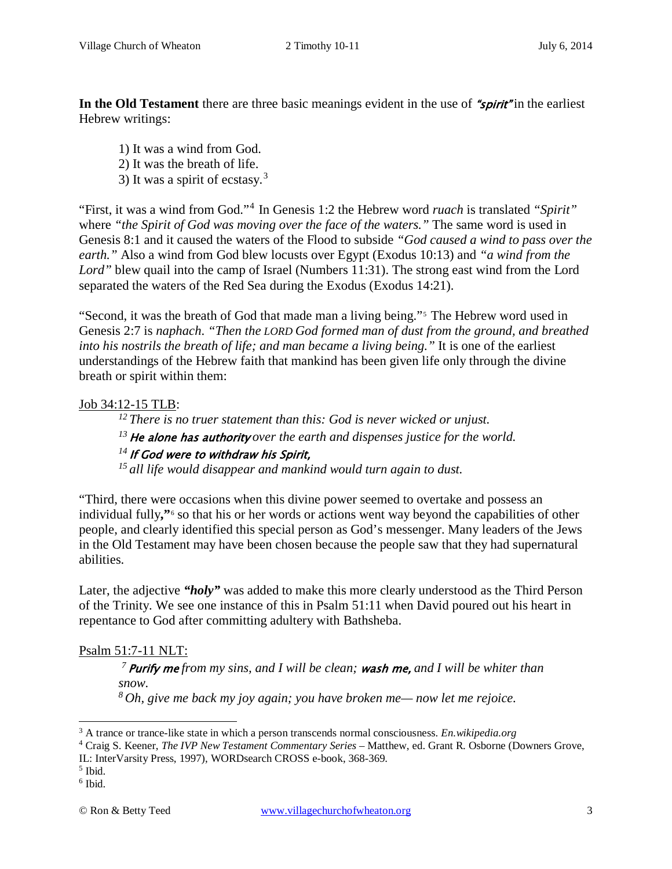**In the Old Testament** there are three basic meanings evident in the use of "**spirit**" in the earliest Hebrew writings:

- 1) It was a wind from God.
- 2) It was the breath of life.
- [3](#page-2-0)) It was a spirit of ecstasy.<sup>3</sup>

"First, it was a wind from God."[4](#page-2-1) In Genesis 1:2 the Hebrew word *ruach* is translated *"Spirit"* where *"the Spirit of God was moving over the face of the waters."* The same word is used in Genesis 8:1 and it caused the waters of the Flood to subside *"God caused a wind to pass over the earth."* Also a wind from God blew locusts over Egypt (Exodus 10:13) and *"a wind from the Lord"* blew quail into the camp of Israel (Numbers 11:31). The strong east wind from the Lord separated the waters of the Red Sea during the Exodus (Exodus 14:21).

"Second, it was the breath of God that made man a living being."[5](#page-2-2) The Hebrew word used in Genesis 2:7 is *naphach*. *"Then the LORD God formed man of dust from the ground, and breathed into his nostrils the breath of life; and man became a living being."* It is one of the earliest understandings of the Hebrew faith that mankind has been given life only through the divine breath or spirit within them:

### Job 34:12-15 TLB:

*12 There is no truer statement than this: God is never wicked or unjust. <sup>13</sup>*He alone has authority *over the earth and dispenses justice for the world. <sup>14</sup>*If God were to withdraw his Spirit, *15 all life would disappear and mankind would turn again to dust.* 

"Third, there were occasions when this divine power seemed to overtake and possess an individual fully**,"**[6](#page-2-3) so that his or her words or actions went way beyond the capabilities of other people, and clearly identified this special person as God's messenger. Many leaders of the Jews in the Old Testament may have been chosen because the people saw that they had supernatural abilities.

Later, the adjective "holy" was added to make this more clearly understood as the Third Person of the Trinity. We see one instance of this in Psalm 51:11 when David poured out his heart in repentance to God after committing adultery with Bathsheba.

## Psalm 51:7-11 NLT:

*<sup>7</sup>*Purify me *from my sins, and I will be clean;* wash me, *and I will be whiter than snow.* 

*8 Oh, give me back my joy again; you have broken me— now let me rejoice.* 

<span id="page-2-0"></span><sup>3</sup> A trance or trance-like state in which a person transcends normal consciousness. *En.wikipedia.org*  $\overline{a}$ 

<span id="page-2-1"></span><sup>4</sup> Craig S. Keener, *The IVP New Testament Commentary Series* – Matthew, ed. Grant R. Osborne (Downers Grove,

IL: InterVarsity Press, 1997), WORDsearch CROSS e-book, 368-369.

<span id="page-2-2"></span> $<sup>5</sup>$  Ibid.</sup>

<span id="page-2-3"></span> $6$  Ibid.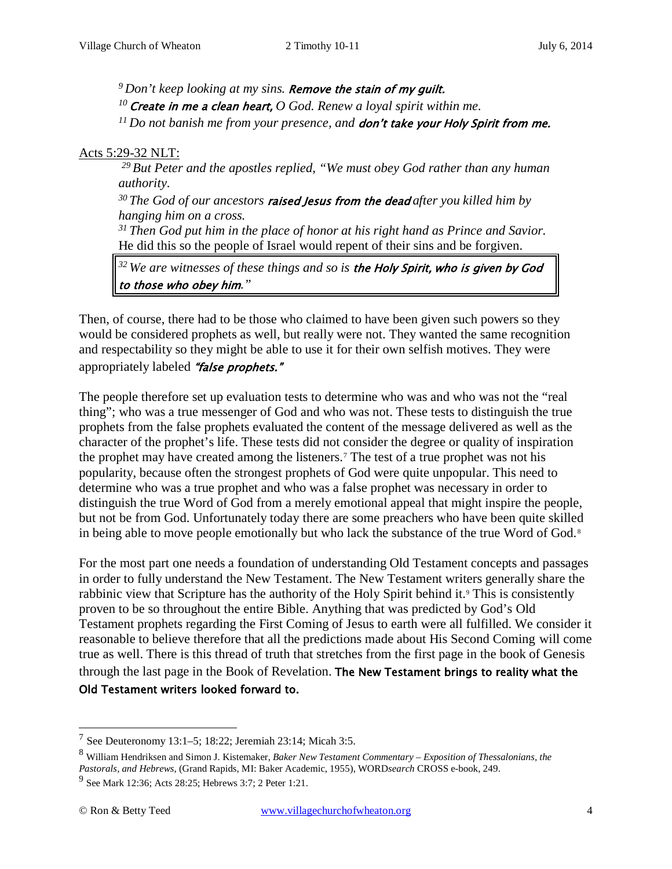*9 Don't keep looking at my sins.* Remove the stain of my guilt.

*<sup>10</sup>* Create in me a clean heart, *O God. Renew a loyal spirit within me.* 

*11 Do not banish me from your presence, and* don't take your Holy Spirit from me.

## Acts 5:29-32 NLT:

*29 But Peter and the apostles replied, "We must obey God rather than any human authority.* 

*30 The God of our ancestors* raised Jesus from the dead *after you killed him by hanging him on a cross.* 

*31 Then God put him in the place of honor at his right hand as Prince and Savior.*  He did this so the people of Israel would repent of their sins and be forgiven.

*32 We are witnesses of these things and so is* the Holy Spirit, who is given by God to those who obey him*."* 

Then, of course, there had to be those who claimed to have been given such powers so they would be considered prophets as well, but really were not. They wanted the same recognition and respectability so they might be able to use it for their own selfish motives. They were appropriately labeled "false prophets."

The people therefore set up evaluation tests to determine who was and who was not the "real thing"; who was a true messenger of God and who was not. These tests to distinguish the true prophets from the false prophets evaluated the content of the message delivered as well as the character of the prophet's life. These tests did not consider the degree or quality of inspiration the prophet may have created among the listeners.[7](#page-3-0) The test of a true prophet was not his popularity, because often the strongest prophets of God were quite unpopular. This need to determine who was a true prophet and who was a false prophet was necessary in order to distinguish the true Word of God from a merely emotional appeal that might inspire the people, but not be from God. Unfortunately today there are some preachers who have been quite skilled in being able to move people emotionally but who lack the substance of the true Word of God. [8](#page-3-1)

For the most part one needs a foundation of understanding Old Testament concepts and passages in order to fully understand the New Testament. The New Testament writers generally share the rabbinic view that Scripture has the authority of the Holy Spirit behind it.<sup>[9](#page-3-2)</sup> This is consistently proven to be so throughout the entire Bible. Anything that was predicted by God's Old Testament prophets regarding the First Coming of Jesus to earth were all fulfilled. We consider it reasonable to believe therefore that all the predictions made about His Second Coming will come true as well. There is this thread of truth that stretches from the first page in the book of Genesis through the last page in the Book of Revelation. The New Testament brings to reality what the Old Testament writers looked forward to.

 $\overline{a}$ 

<span id="page-3-0"></span><sup>&</sup>lt;sup>7</sup> See Deuteronomy 13:1–5; 18:22; Jeremiah 23:14; Micah 3:5.

<span id="page-3-1"></span><sup>8</sup> William Hendriksen and Simon J. Kistemaker, *Baker New Testament Commentary – Exposition of Thessalonians, the Pastorals, and Hebrews*, (Grand Rapids, MI: Baker Academic, 1955), WORD*search* CROSS e-book, 249.

<span id="page-3-2"></span><sup>&</sup>lt;sup>9</sup> See Mark 12:36; Acts 28:25; Hebrews 3:7; 2 Peter 1:21.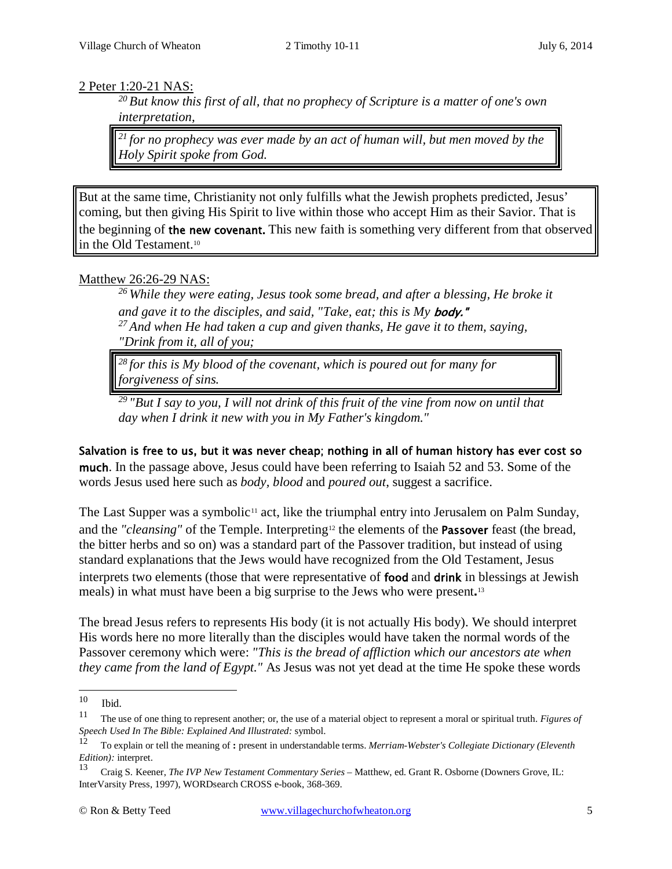#### 2 Peter 1:20-21 NAS:

*20 But know this first of all, that no prophecy of Scripture is a matter of one's own interpretation,* 

*21 for no prophecy was ever made by an act of human will, but men moved by the Holy Spirit spoke from God.* 

But at the same time, Christianity not only fulfills what the Jewish prophets predicted, Jesus' coming, but then giving His Spirit to live within those who accept Him as their Savior. That is the beginning of the new covenant. This new faith is something very different from that observed in the Old Testament[.10](#page-4-0)

#### Matthew 26:26-29 NAS:

*26 While they were eating, Jesus took some bread, and after a blessing, He broke it*  and gave it to the disciples, and said, "Take, eat; this is My **body."** *27 And when He had taken a cup and given thanks, He gave it to them, saying, "Drink from it, all of you;* 

*28 for this is My blood of the covenant, which is poured out for many for forgiveness of sins.* 

*29 "But I say to you, I will not drink of this fruit of the vine from now on until that day when I drink it new with you in My Father's kingdom."* 

Salvation is free to us, but it was never cheap; nothing in all of human history has ever cost so much. In the passage above, Jesus could have been referring to [Isaiah 52](http://www.crossbooks.com/verse.asp?ref=Isa+52) and 53. Some of the words Jesus used here such as *body, blood* and *poured out*, suggest a sacrifice.

The Last Supper was a symbolic<sup>[11](#page-4-1)</sup> act, like the triumphal entry into Jerusalem on Palm Sunday, and the *"cleansing"* of the Temple. Interpreting<sup>[12](#page-4-2)</sup> the elements of the **Passover** feast (the bread, the bitter herbs and so on) was a standard part of the Passover tradition, but instead of using standard explanations that the Jews would have recognized from the Old Testament, Jesus interprets two elements (those that were representative of food and drink in blessings at Jewish meals) in what must have been a big surprise to the Jews who were present.[13](#page-4-3)

The bread Jesus refers to represents His body (it is not actually His body). We should interpret His words here no more literally than the disciples would have taken the normal words of the Passover ceremony which were: *"This is the bread of affliction which our ancestors ate when they came from the land of Egypt."* As Jesus was not yet dead at the time He spoke these words

<span id="page-4-0"></span>Ibid. 10

<span id="page-4-1"></span><sup>11</sup> The use of one thing to represent another; or, the use of a material object to represent a moral or spiritual truth. *Figures of Speech Used In The Bible: Explained And Illustrated:* symbol.

<span id="page-4-2"></span><sup>12</sup> To explain or tell the meaning of **:** present in understandable terms. *Merriam-Webster's Collegiate Dictionary (Eleventh Edition):* interpret.

<span id="page-4-3"></span><sup>13</sup> Craig S. Keener, *The IVP New Testament Commentary Series* – Matthew, ed. Grant R. Osborne (Downers Grove, IL: InterVarsity Press, 1997), WORDsearch CROSS e-book, 368-369.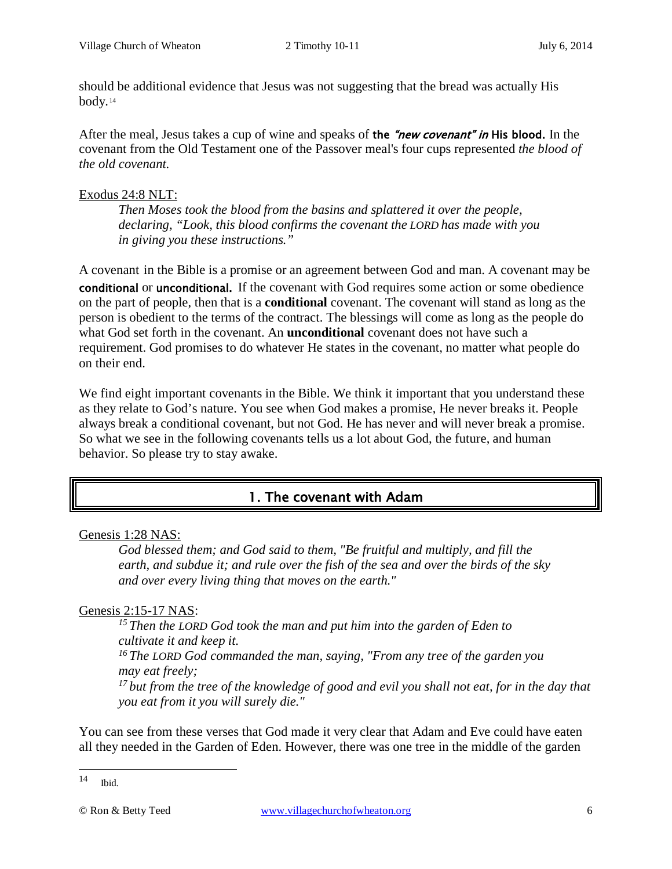should be additional evidence that Jesus was not suggesting that the bread was actually His body. [14](#page-5-0)

After the meal, Jesus takes a cup of wine and speaks of the "new covenant" in His blood. In the covenant from the Old Testament one of the Passover meal's four cups represented *the blood of the old covenant.*

#### Exodus 24:8 NLT:

*Then Moses took the blood from the basins and splattered it over the people, declaring, "Look, this blood confirms the covenant the LORD has made with you in giving you these instructions."* 

A covenant in the Bible is a promise or an agreement between God and man. A covenant may be conditional or unconditional. If the covenant with God requires some action or some obedience on the part of people, then that is a **conditional** covenant. The covenant will stand as long as the person is obedient to the terms of the contract. The blessings will come as long as the people do what God set forth in the covenant. An **unconditional** covenant does not have such a requirement. God promises to do whatever He states in the covenant, no matter what people do on their end.

We find eight important covenants in the Bible. We think it important that you understand these as they relate to God's nature. You see when God makes a promise, He never breaks it. People always break a conditional covenant, but not God. He has never and will never break a promise. So what we see in the following covenants tells us a lot about God, the future, and human behavior. So please try to stay awake.

# 1. The covenant with Adam

## Genesis 1:28 NAS:

*God blessed them; and God said to them, "Be fruitful and multiply, and fill the earth, and subdue it; and rule over the fish of the sea and over the birds of the sky and over every living thing that moves on the earth."* 

## Genesis 2:15-17 NAS:

*15 Then the LORD God took the man and put him into the garden of Eden to cultivate it and keep it. 16 The LORD God commanded the man, saying, "From any tree of the garden you may eat freely;* 

*17 but from the tree of the knowledge of good and evil you shall not eat, for in the day that you eat from it you will surely die."* 

You can see from these verses that God made it very clear that Adam and Eve could have eaten all they needed in the Garden of Eden. However, there was one tree in the middle of the garden

<span id="page-5-0"></span>Ibid.  $14$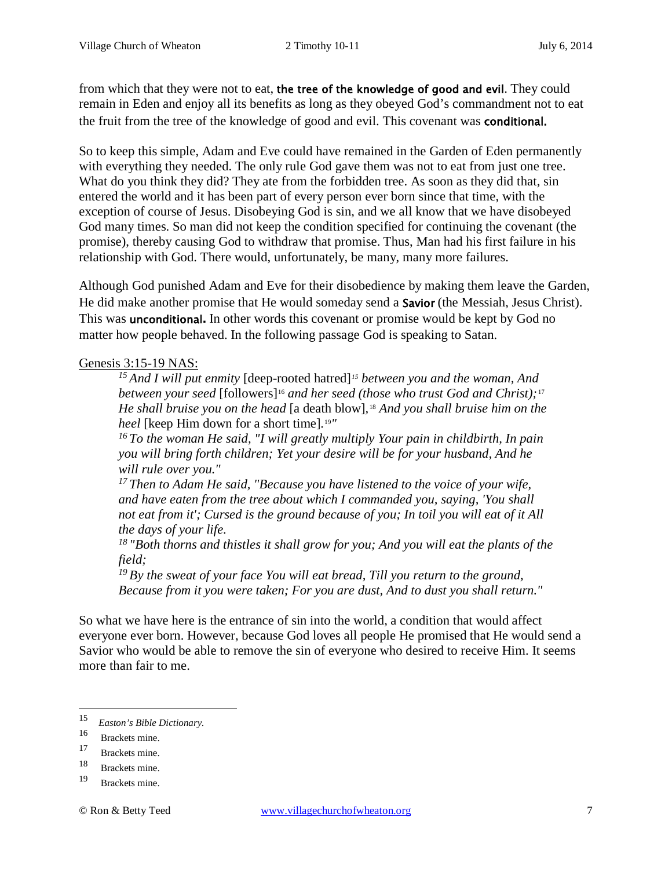from which that they were not to eat, the tree of the knowledge of good and evil. They could remain in Eden and enjoy all its benefits as long as they obeyed God's commandment not to eat the fruit from the tree of the knowledge of good and evil. This covenant was conditional.

So to keep this simple, Adam and Eve could have remained in the Garden of Eden permanently with everything they needed. The only rule God gave them was not to eat from just one tree. What do you think they did? They ate from the forbidden tree. As soon as they did that, sin entered the world and it has been part of every person ever born since that time, with the exception of course of Jesus. Disobeying God is sin, and we all know that we have disobeyed God many times. So man did not keep the condition specified for continuing the covenant (the promise), thereby causing God to withdraw that promise. Thus, Man had his first failure in his relationship with God. There would, unfortunately, be many, many more failures.

Although God punished Adam and Eve for their disobedience by making them leave the Garden, He did make another promise that He would someday send a Savior (the Messiah, Jesus Christ). This was unconditional. In other words this covenant or promise would be kept by God no matter how people behaved. In the following passage God is speaking to Satan.

## Genesis 3:15-19 NAS:

*15 And I will put enmity* [deep-rooted hatred]*[15](#page-6-0) between you and the woman, And between your seed* [followers][16](#page-6-1) *and her seed (those who trust God and Christ);* [17](#page-6-2) *He shall bruise you on the head* [a death blow]*,*[18](#page-6-3) *And you shall bruise him on the heel* [keep Him down for a short time]*.*[19](#page-6-4)*"* 

*16 To the woman He said, "I will greatly multiply Your pain in childbirth, In pain you will bring forth children; Yet your desire will be for your husband, And he will rule over you."* 

*17 Then to Adam He said, "Because you have listened to the voice of your wife, and have eaten from the tree about which I commanded you, saying, 'You shall not eat from it'; Cursed is the ground because of you; In toil you will eat of it All the days of your life.* 

*18 "Both thorns and thistles it shall grow for you; And you will eat the plants of the field;* 

*19 By the sweat of your face You will eat bread, Till you return to the ground, Because from it you were taken; For you are dust, And to dust you shall return."* 

So what we have here is the entrance of sin into the world, a condition that would affect everyone ever born. However, because God loves all people He promised that He would send a Savior who would be able to remove the sin of everyone who desired to receive Him. It seems more than fair to me.

<span id="page-6-0"></span> $Easton's Bible Dictionary.$ 15

<span id="page-6-2"></span><span id="page-6-1"></span> $\frac{16}{17}$  Brackets mine.

Brackets mine.

<span id="page-6-3"></span> $\frac{18}{19}$  Brackets mine.

<span id="page-6-4"></span>Brackets mine.